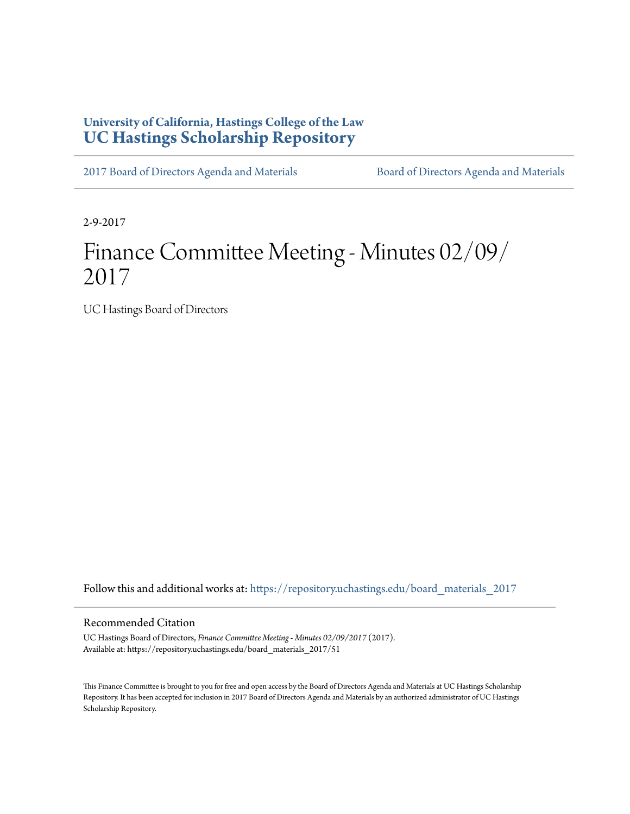## **University of California, Hastings College of the Law [UC Hastings Scholarship Repository](https://repository.uchastings.edu?utm_source=repository.uchastings.edu%2Fboard_materials_2017%2F51&utm_medium=PDF&utm_campaign=PDFCoverPages)**

[2017 Board of Directors Agenda and Materials](https://repository.uchastings.edu/board_materials_2017?utm_source=repository.uchastings.edu%2Fboard_materials_2017%2F51&utm_medium=PDF&utm_campaign=PDFCoverPages) [Board of Directors Agenda and Materials](https://repository.uchastings.edu/board_materials?utm_source=repository.uchastings.edu%2Fboard_materials_2017%2F51&utm_medium=PDF&utm_campaign=PDFCoverPages)

2-9-2017

# Finance Committee Meeting - Minutes 02/09/ 2017

UC Hastings Board of Directors

Follow this and additional works at: [https://repository.uchastings.edu/board\\_materials\\_2017](https://repository.uchastings.edu/board_materials_2017?utm_source=repository.uchastings.edu%2Fboard_materials_2017%2F51&utm_medium=PDF&utm_campaign=PDFCoverPages)

#### Recommended Citation

UC Hastings Board of Directors, *Finance Committee Meeting - Minutes 02/09/2017* (2017). Available at: https://repository.uchastings.edu/board\_materials\_2017/51

This Finance Committee is brought to you for free and open access by the Board of Directors Agenda and Materials at UC Hastings Scholarship Repository. It has been accepted for inclusion in 2017 Board of Directors Agenda and Materials by an authorized administrator of UC Hastings Scholarship Repository.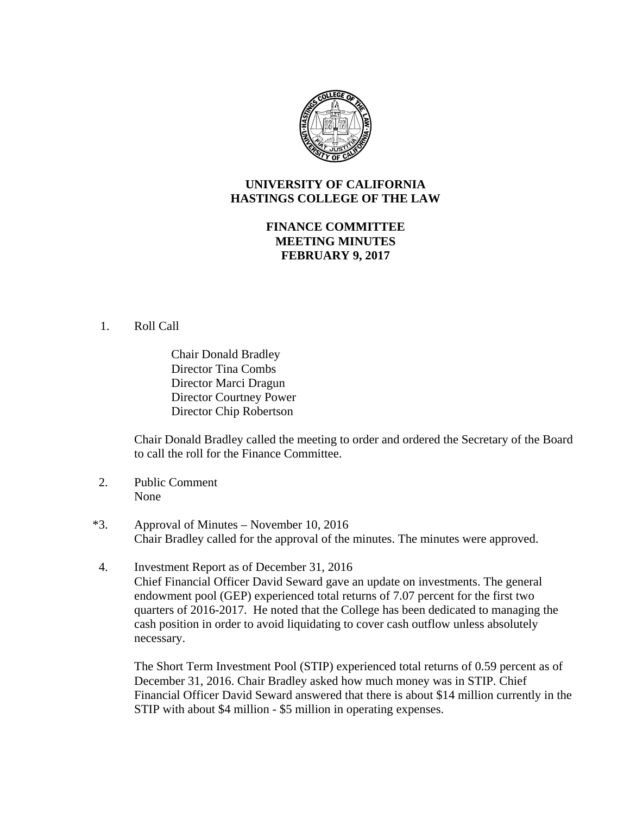

## **UNIVERSITY OF CALIFORNIA HASTINGS COLLEGE OF THE LAW**

## **FINANCE COMMITTEE MEETING MINUTES FEBRUARY 9, 2017**

#### 1. Roll Call

 Chair Donald Bradley Director Tina Combs Director Marci Dragun Director Courtney Power Director Chip Robertson

Chair Donald Bradley called the meeting to order and ordered the Secretary of the Board to call the roll for the Finance Committee.

- 2. Public Comment None
- \*3. Approval of Minutes November 10, 2016 Chair Bradley called for the approval of the minutes. The minutes were approved.
- 4. Investment Report as of December 31, 2016 Chief Financial Officer David Seward gave an update on investments. The general endowment pool (GEP) experienced total returns of 7.07 percent for the first two quarters of 2016-2017. He noted that the College has been dedicated to managing the cash position in order to avoid liquidating to cover cash outflow unless absolutely necessary.

The Short Term Investment Pool (STIP) experienced total returns of 0.59 percent as of December 31, 2016. Chair Bradley asked how much money was in STIP. Chief Financial Officer David Seward answered that there is about \$14 million currently in the STIP with about \$4 million - \$5 million in operating expenses.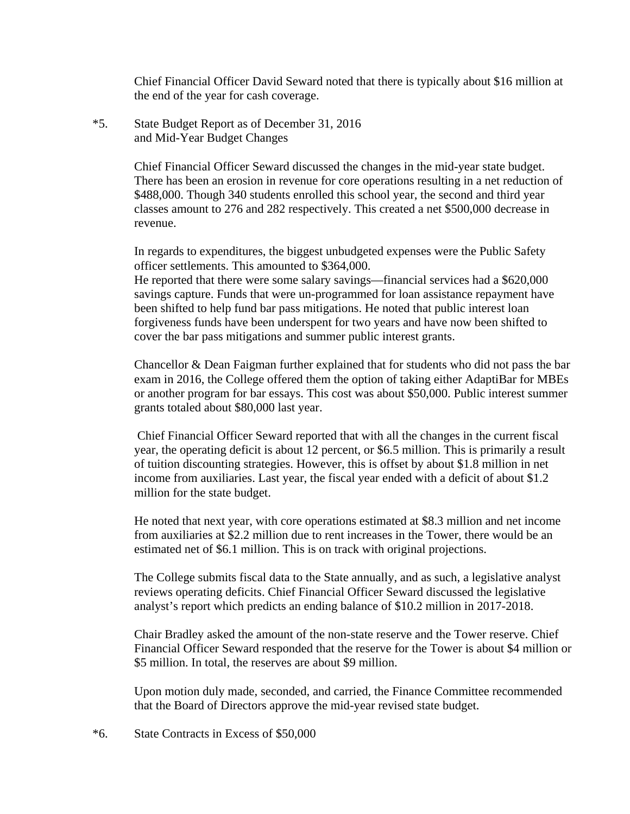Chief Financial Officer David Seward noted that there is typically about \$16 million at the end of the year for cash coverage.

\*5. State Budget Report as of December 31, 2016 and Mid-Year Budget Changes

> Chief Financial Officer Seward discussed the changes in the mid-year state budget. There has been an erosion in revenue for core operations resulting in a net reduction of \$488,000. Though 340 students enrolled this school year, the second and third year classes amount to 276 and 282 respectively. This created a net \$500,000 decrease in revenue.

In regards to expenditures, the biggest unbudgeted expenses were the Public Safety officer settlements. This amounted to \$364,000.

He reported that there were some salary savings—financial services had a \$620,000 savings capture. Funds that were un-programmed for loan assistance repayment have been shifted to help fund bar pass mitigations. He noted that public interest loan forgiveness funds have been underspent for two years and have now been shifted to cover the bar pass mitigations and summer public interest grants.

Chancellor & Dean Faigman further explained that for students who did not pass the bar exam in 2016, the College offered them the option of taking either AdaptiBar for MBEs or another program for bar essays. This cost was about \$50,000. Public interest summer grants totaled about \$80,000 last year.

 Chief Financial Officer Seward reported that with all the changes in the current fiscal year, the operating deficit is about 12 percent, or \$6.5 million. This is primarily a result of tuition discounting strategies. However, this is offset by about \$1.8 million in net income from auxiliaries. Last year, the fiscal year ended with a deficit of about \$1.2 million for the state budget.

He noted that next year, with core operations estimated at \$8.3 million and net income from auxiliaries at \$2.2 million due to rent increases in the Tower, there would be an estimated net of \$6.1 million. This is on track with original projections.

The College submits fiscal data to the State annually, and as such, a legislative analyst reviews operating deficits. Chief Financial Officer Seward discussed the legislative analyst's report which predicts an ending balance of \$10.2 million in 2017-2018.

Chair Bradley asked the amount of the non-state reserve and the Tower reserve. Chief Financial Officer Seward responded that the reserve for the Tower is about \$4 million or \$5 million. In total, the reserves are about \$9 million.

Upon motion duly made, seconded, and carried, the Finance Committee recommended that the Board of Directors approve the mid-year revised state budget.

\*6. State Contracts in Excess of \$50,000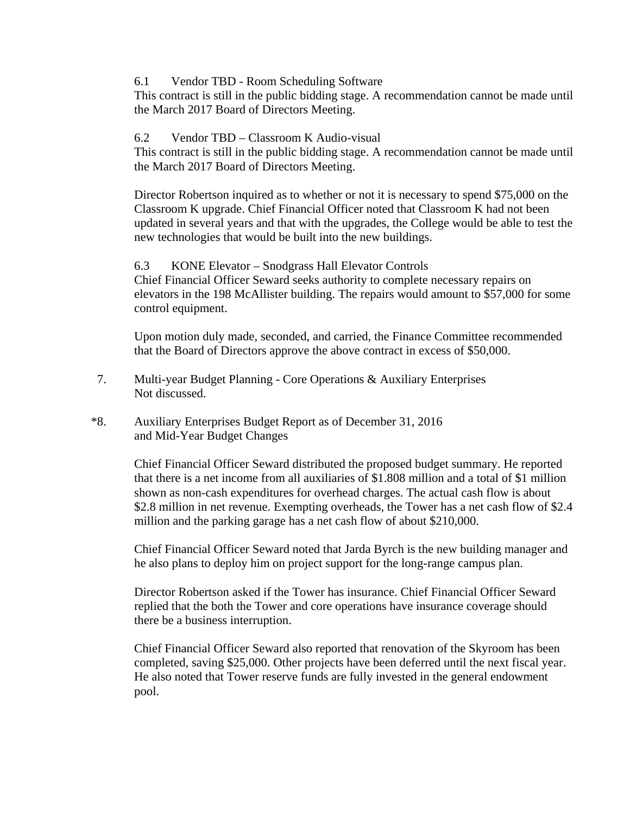6.1 Vendor TBD - Room Scheduling Software

This contract is still in the public bidding stage. A recommendation cannot be made until the March 2017 Board of Directors Meeting.

## 6.2 Vendor TBD – Classroom K Audio-visual

This contract is still in the public bidding stage. A recommendation cannot be made until the March 2017 Board of Directors Meeting.

Director Robertson inquired as to whether or not it is necessary to spend \$75,000 on the Classroom K upgrade. Chief Financial Officer noted that Classroom K had not been updated in several years and that with the upgrades, the College would be able to test the new technologies that would be built into the new buildings.

#### 6.3 KONE Elevator – Snodgrass Hall Elevator Controls

Chief Financial Officer Seward seeks authority to complete necessary repairs on elevators in the 198 McAllister building. The repairs would amount to \$57,000 for some control equipment.

Upon motion duly made, seconded, and carried, the Finance Committee recommended that the Board of Directors approve the above contract in excess of \$50,000.

- 7. Multi-year Budget Planning Core Operations & Auxiliary Enterprises Not discussed.
- \*8. Auxiliary Enterprises Budget Report as of December 31, 2016 and Mid-Year Budget Changes

Chief Financial Officer Seward distributed the proposed budget summary. He reported that there is a net income from all auxiliaries of \$1.808 million and a total of \$1 million shown as non-cash expenditures for overhead charges. The actual cash flow is about \$2.8 million in net revenue. Exempting overheads, the Tower has a net cash flow of \$2.4 million and the parking garage has a net cash flow of about \$210,000.

Chief Financial Officer Seward noted that Jarda Byrch is the new building manager and he also plans to deploy him on project support for the long-range campus plan.

Director Robertson asked if the Tower has insurance. Chief Financial Officer Seward replied that the both the Tower and core operations have insurance coverage should there be a business interruption.

Chief Financial Officer Seward also reported that renovation of the Skyroom has been completed, saving \$25,000. Other projects have been deferred until the next fiscal year. He also noted that Tower reserve funds are fully invested in the general endowment pool.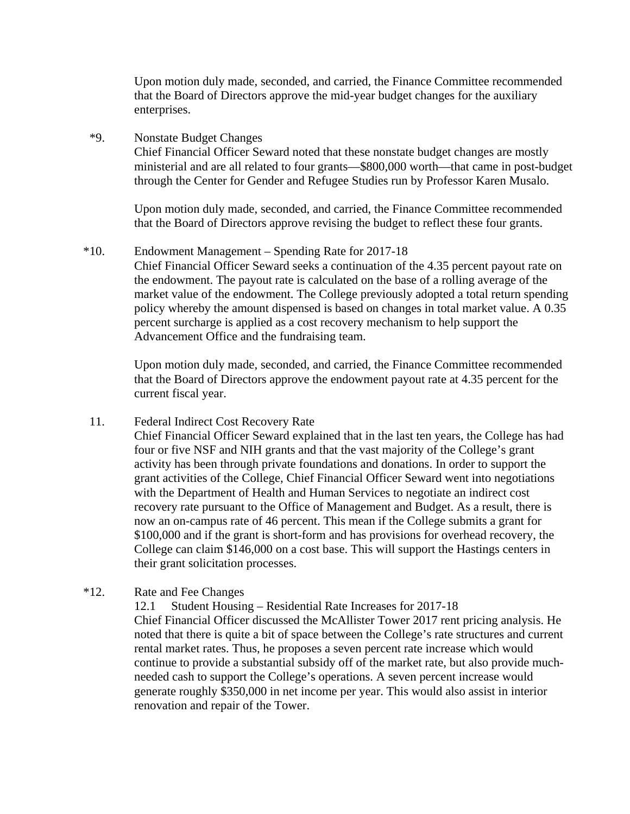Upon motion duly made, seconded, and carried, the Finance Committee recommended that the Board of Directors approve the mid-year budget changes for the auxiliary enterprises.

\*9. Nonstate Budget Changes

Chief Financial Officer Seward noted that these nonstate budget changes are mostly ministerial and are all related to four grants—\$800,000 worth—that came in post-budget through the Center for Gender and Refugee Studies run by Professor Karen Musalo.

Upon motion duly made, seconded, and carried, the Finance Committee recommended that the Board of Directors approve revising the budget to reflect these four grants.

## \*10. Endowment Management – Spending Rate for 2017-18

Chief Financial Officer Seward seeks a continuation of the 4.35 percent payout rate on the endowment. The payout rate is calculated on the base of a rolling average of the market value of the endowment. The College previously adopted a total return spending policy whereby the amount dispensed is based on changes in total market value. A 0.35 percent surcharge is applied as a cost recovery mechanism to help support the Advancement Office and the fundraising team.

Upon motion duly made, seconded, and carried, the Finance Committee recommended that the Board of Directors approve the endowment payout rate at 4.35 percent for the current fiscal year.

## 11. Federal Indirect Cost Recovery Rate

Chief Financial Officer Seward explained that in the last ten years, the College has had four or five NSF and NIH grants and that the vast majority of the College's grant activity has been through private foundations and donations. In order to support the grant activities of the College, Chief Financial Officer Seward went into negotiations with the Department of Health and Human Services to negotiate an indirect cost recovery rate pursuant to the Office of Management and Budget. As a result, there is now an on-campus rate of 46 percent. This mean if the College submits a grant for \$100,000 and if the grant is short-form and has provisions for overhead recovery, the College can claim \$146,000 on a cost base. This will support the Hastings centers in their grant solicitation processes.

## \*12. Rate and Fee Changes

12.1 Student Housing – Residential Rate Increases for 2017-18

Chief Financial Officer discussed the McAllister Tower 2017 rent pricing analysis. He noted that there is quite a bit of space between the College's rate structures and current rental market rates. Thus, he proposes a seven percent rate increase which would continue to provide a substantial subsidy off of the market rate, but also provide muchneeded cash to support the College's operations. A seven percent increase would generate roughly \$350,000 in net income per year. This would also assist in interior renovation and repair of the Tower.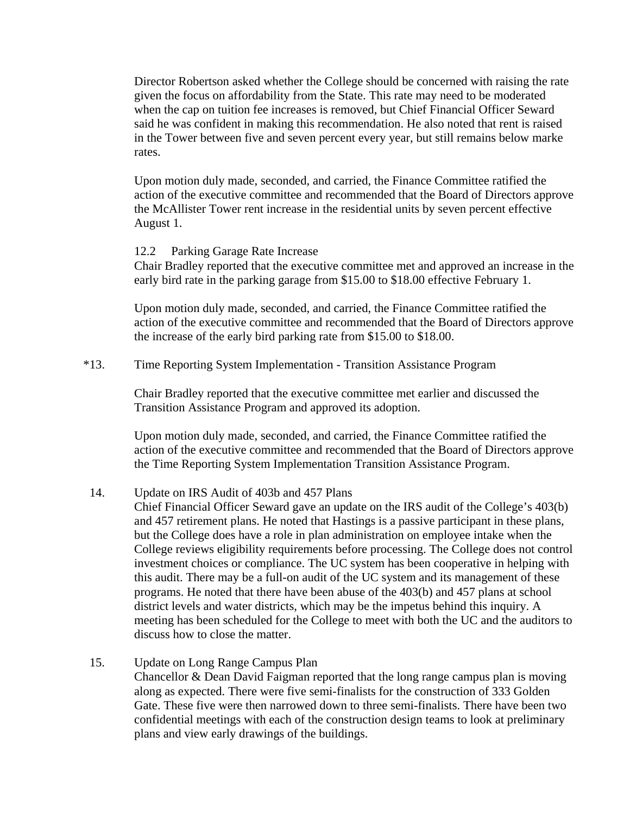Director Robertson asked whether the College should be concerned with raising the rate given the focus on affordability from the State. This rate may need to be moderated when the cap on tuition fee increases is removed, but Chief Financial Officer Seward said he was confident in making this recommendation. He also noted that rent is raised in the Tower between five and seven percent every year, but still remains below marke rates.

Upon motion duly made, seconded, and carried, the Finance Committee ratified the action of the executive committee and recommended that the Board of Directors approve the McAllister Tower rent increase in the residential units by seven percent effective August 1.

#### 12.2 Parking Garage Rate Increase

Chair Bradley reported that the executive committee met and approved an increase in the early bird rate in the parking garage from \$15.00 to \$18.00 effective February 1.

Upon motion duly made, seconded, and carried, the Finance Committee ratified the action of the executive committee and recommended that the Board of Directors approve the increase of the early bird parking rate from \$15.00 to \$18.00.

#### \*13. Time Reporting System Implementation - Transition Assistance Program

Chair Bradley reported that the executive committee met earlier and discussed the Transition Assistance Program and approved its adoption.

Upon motion duly made, seconded, and carried, the Finance Committee ratified the action of the executive committee and recommended that the Board of Directors approve the Time Reporting System Implementation Transition Assistance Program.

#### 14. Update on IRS Audit of 403b and 457 Plans

Chief Financial Officer Seward gave an update on the IRS audit of the College's 403(b) and 457 retirement plans. He noted that Hastings is a passive participant in these plans, but the College does have a role in plan administration on employee intake when the College reviews eligibility requirements before processing. The College does not control investment choices or compliance. The UC system has been cooperative in helping with this audit. There may be a full-on audit of the UC system and its management of these programs. He noted that there have been abuse of the 403(b) and 457 plans at school district levels and water districts, which may be the impetus behind this inquiry. A meeting has been scheduled for the College to meet with both the UC and the auditors to discuss how to close the matter.

#### 15. Update on Long Range Campus Plan

Chancellor & Dean David Faigman reported that the long range campus plan is moving along as expected. There were five semi-finalists for the construction of 333 Golden Gate. These five were then narrowed down to three semi-finalists. There have been two confidential meetings with each of the construction design teams to look at preliminary plans and view early drawings of the buildings.